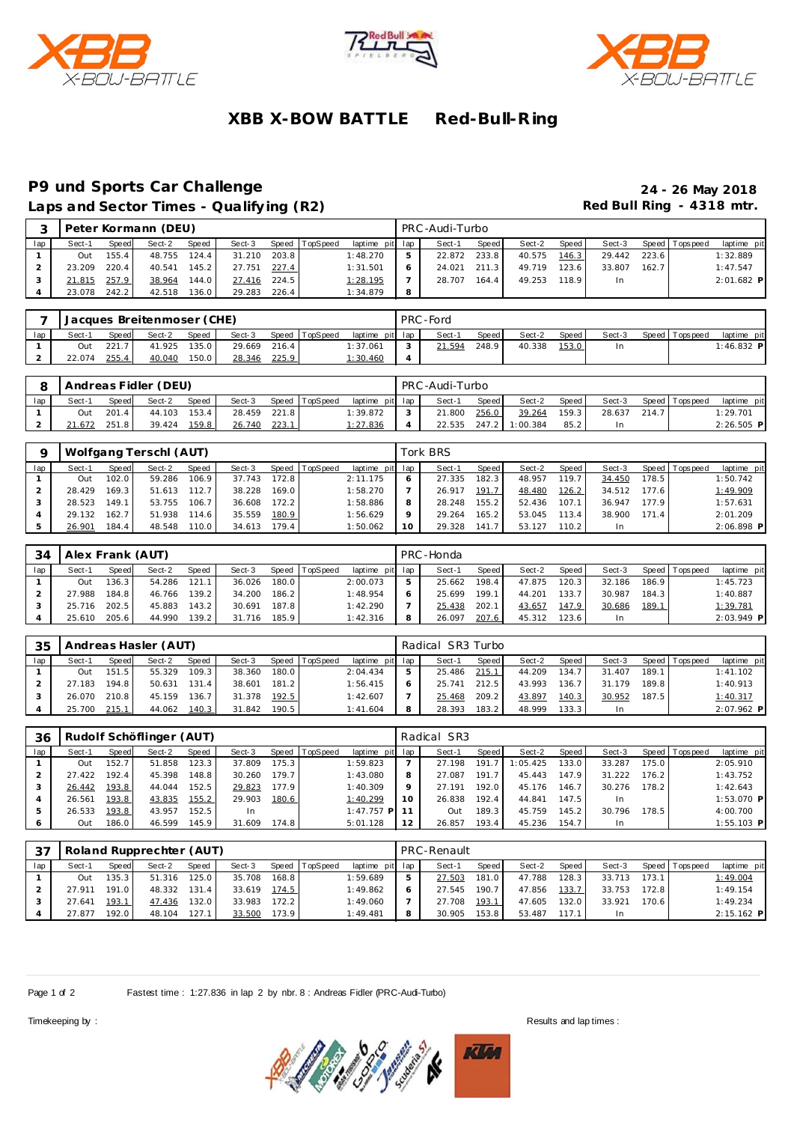





# **XBB X-BOW BATTLE Red-Bull-R ing**

### **P9 und Sports Car Challenge 24 - 26 May 2018** Laps and Sector Times - Qualifying (R2) **Red Bull Ring - 4318 mtr.**

| $\sim$ |        |              | Peter Kormann (DEU) |       |        |       |          |                 |   | PRC -Audi-Turbo |       |        |         |        |       |                 |              |
|--------|--------|--------------|---------------------|-------|--------|-------|----------|-----------------|---|-----------------|-------|--------|---------|--------|-------|-----------------|--------------|
| lap    | Sect-1 | <b>Speed</b> | Sect-2              | Speed | Sect-3 | Speed | TopSpeed | laptime pit lap |   | Sect-1          | Speed | Sect-2 | Speed I | Sect-3 |       | Speed Tops peed | laptime pit  |
|        | Out    | 155.4        | 48.755              | 124.4 | 31.210 | 203.8 |          | 1:48.270        | b | 22.872          | 233.8 | 40.575 | 146.3   | 29.442 | 223.6 |                 | 1:32.889     |
|        | 23.209 | 220.4        | 40.541              | 145.2 | 27.751 | 227.4 |          | 1:31.501        | 6 | 24.021          | 211.3 | 49.719 | 123.6   | 33.807 | 162.7 |                 | 1:47.547     |
|        | 21.815 | 257.9        | 38.964              | 144.0 | 27.416 | 224.5 |          | 1:28.195        |   | 28.707          | 164.4 | 49.253 | 118.9   |        |       |                 | $2:01.682$ P |
|        | 23.078 | 242.2        | 42.518              | 136.0 | 29.283 | 226.4 |          | 1:34.879        | 8 |                 |       |        |         |        |       |                 |              |

|     |        |              | Jacques Breitenmoser (CHE) |       |        |       |                |                 | PRC-Ford |       |        |         |        |                |              |
|-----|--------|--------------|----------------------------|-------|--------|-------|----------------|-----------------|----------|-------|--------|---------|--------|----------------|--------------|
| lap | Sect-1 | <b>Speed</b> | Sect-2                     | Speed | Sect-3 |       | Speed TopSpeed | laptime pit lap | Sect-1   | Speed | Sect-2 | Speed I | Sect-3 | Speed Topspeed | laptime pit  |
|     | Out    | 221.7        | 41.925                     | 135.0 | 29.669 | 216.4 |                | 1:37.061        | 21.594   | 248.9 | 40.338 | 153.0   |        |                | $1:46.832$ P |
|     | 22.074 | 255.4        | 40.040                     | 150.0 | 28.346 | 225.9 |                | <u>1:30.460</u> |          |       |        |         |        |                |              |

|     |        |              | Andreas Fidler (DEU) |       |        |       |                |                 | PRC-Audi-Turbo |              |                |       |        |       |                   |              |
|-----|--------|--------------|----------------------|-------|--------|-------|----------------|-----------------|----------------|--------------|----------------|-------|--------|-------|-------------------|--------------|
| lap | Sect-1 | <b>Speed</b> | Sect-2               | Speed | Sect-3 |       | Speed TopSpeed | laptime pit lap | Sect-1         | <b>Speed</b> | Sect-2         | Speed | Sect-3 |       | Speed   Tops peed | laptime pit  |
|     | Out    | 201.4        | 44.103               | 153.4 | 28.459 | 221.8 |                | 1:39.872        | 21.800         | 256.0        | 39.264         | 159.3 | 28.637 | 214.7 |                   | 1:29.701     |
|     | 21.672 | 251.8        | 39.424               | 159.8 | 26.740 | 223.1 |                | 1:27.836        | 22.535         |              | 247.2 1:00.384 | 85.2  |        |       |                   | $2:26.505$ P |

|     |        |       | Wolfgang Terschl (AUT) |              |        |       |                |                 |    | Tork BRS |         |        |         |        |       |                 |             |
|-----|--------|-------|------------------------|--------------|--------|-------|----------------|-----------------|----|----------|---------|--------|---------|--------|-------|-----------------|-------------|
| lap | Sect-1 | Speed | Sect-2                 | <b>Speed</b> | Sect-3 |       | Speed TopSpeed | laptime pit lap |    | Sect-1   | Speed I | Sect-2 | Speed I | Sect-3 |       | Speed Tops peed | laptime pit |
|     | Out    | 102.0 | 59.286                 | 106.9        | 37.743 | 172.8 |                | 2:11.175        |    | 27.335   | 182.3   | 48.957 | 119.7   | 34.450 | 178.5 |                 | 1:50.742    |
|     | 28.429 | 169.3 | 51.613                 | 112.7        | 38.228 | 169.0 |                | 1:58.270        |    | 26.917   | 191.7   | 48.480 | 126.2   | 34.512 | 177.6 |                 | 1:49.909    |
|     | 28.523 | 149.1 | 53.755                 | 106.7        | 36.608 | 172.2 |                | 1:58.886        |    | 28.248   | 155.2   | 52.436 | 107.1   | 36.947 | 177.9 |                 | 1:57.631    |
|     | 29.132 | 162.7 | 51.938                 | 114.61       | 35.559 | 180.9 |                | 1:56.629        |    | 29.264   | 165.2   | 53.045 | 113.4   | 38.900 | 171.4 |                 | 2:01.209    |
|     | 26.901 | 184.4 | 48.548                 | 110.0        | 34.613 | 179.4 |                | 1:50.062        | 10 | 29.328   | 141.7   | 53.127 | 110.2   |        |       |                 | 2:06.898 P  |

| 34  | Alex Frank (AUT) |              |        |       |        |         |                |                 | PRC-Honda |       |        |        |        |       |                 |             |
|-----|------------------|--------------|--------|-------|--------|---------|----------------|-----------------|-----------|-------|--------|--------|--------|-------|-----------------|-------------|
| lap | Sect-1           | <b>Speed</b> | Sect-2 | Speed | Sect-3 |         | Speed TopSpeed | laptime pit lap | Sect-1    | Speed | Sect-2 | Speed  | Sect-3 |       | Speed Tops peed | laptime pit |
|     | Out              | 136.3        | 54.286 | 121.1 | 36.026 | 180.0   |                | 2:00.073        | 25.662    | 198.4 | 47.875 | 120.3  | 32.186 | 186.9 |                 | 1:45.723    |
|     | 27.988           | 184.8        | 46.766 | 139.2 | 34.200 | $186.2$ |                | 1:48.954        | 25.699    | 199.1 | 44.201 | 133.7. | 30.987 | 184.3 |                 | 1:40.887    |
|     | 25.716           | 202.5        | 45.883 | 143.2 | 30.691 | 187.8   |                | 1:42.290        | 25.438    | 202.1 | 43.657 | 147.9  | 30.686 | 189.1 |                 | 1:39.781    |
|     | 25.610           | 205.6        | 44.990 | 139.2 | 31.716 | 185.9   |                | 1:42.316        | 26.097    | 207.6 | 45.312 | 123.6  | In.    |       |                 | 2:03.949 P  |

| 35  |        |       | Andreas Hasler (AUT) |       |        |           |                  |                 | Radical SR3 Turbo |       |        |                    |        |       |                 |              |
|-----|--------|-------|----------------------|-------|--------|-----------|------------------|-----------------|-------------------|-------|--------|--------------------|--------|-------|-----------------|--------------|
| lap | Sect-1 | Speed | Sect-2               | Speed | Sect-3 |           | Speed   TopSpeed | laptime pit lap | Sect-1            | Speed | Sect-2 | Speed I            | Sect-3 |       | Speed Tops peed | laptime pit  |
|     | Out    | 151.5 | 55.329               | 109.3 | 38.360 | 180.0     |                  | 2:04.434        | 25.486            | 215.1 | 44.209 | 134.7 <sub>1</sub> | 31.407 | 189.1 |                 | 1:41.102     |
|     | 27.183 | 194.8 | 50.631               | 131.4 | 38.601 | $181.2$ I |                  | 1:56.415        | 25.741            | 212.5 | 43.993 | 136.7 <sub>1</sub> | 31.179 | 189.8 |                 | 1:40.913     |
|     | 26.070 | 210.8 | 45.159               | 136.7 | 31.378 | 192.5     |                  | 1:42.607        | 25.468            | 209.2 | 43.897 | 140.3              | 30.952 | 187.5 |                 | 1:40.317     |
|     | 25.700 | 215.1 | 44.062               | 140.3 | 31.842 | 190.5     |                  | 1:41.604        | 28.393            | 183.2 | 48.999 | 133.3              |        |       |                 | $2:07.962$ P |

| 36  |        |       | Rudolf Schöflinger (AUT) |       |           |       |                |                 |    | Radical SR3 |        |          |       |        |       |                 |              |
|-----|--------|-------|--------------------------|-------|-----------|-------|----------------|-----------------|----|-------------|--------|----------|-------|--------|-------|-----------------|--------------|
| lap | Sect-1 | Speed | Sect-2                   | Speed | Sect-3    |       | Speed TopSpeed | laptime pit lap |    | Sect-1      | Speed  | Sect-2   | Speed | Sect-3 |       | Speed Tops peed | laptime pit  |
|     | Out    | 152.7 | 51.858                   | 123.3 | 37.809    | 175.3 |                | 1:59.823        |    | 27.198      | 191.7  | 1:05.425 | 133.0 | 33.287 | 175.0 |                 | 2:05.910     |
|     | 27.422 | 192.4 | 45.398                   | 148.8 | 30.260    | 179.7 |                | 1:43.080        | 8  | 27.087      | 191.7  | 45.443   | 147.9 | 31.222 | 176.2 |                 | 1:43.752     |
|     | 26.442 | 193.8 | 44.044                   | 152.5 | 29.823    | 177.9 |                | 1:40.309        | Q  | 27.191      | 192.0  | 45.176   | 146.7 | 30.276 | 178.2 |                 | 1:42.643     |
|     | 26.561 | 193.8 | 43.835                   | 155.2 | 29.903    | 180.6 |                | 1:40.299        | 10 | 26.838      | 192.4  | 44.841   | 147.5 | In.    |       |                 | 1:53.070 P   |
|     | 26.533 | 193.8 | 43.957                   | 152.5 | <b>In</b> |       |                | $1:47.757$ P 11 |    | Out         | 189.3. | 45.759   | 145.2 | 30.796 | 178.5 |                 | 4:00.700     |
| 6   | Out    | 186.0 | 46.599                   | 145.9 | 31.609    | 174.8 |                | 5:01.128        | 12 | 26.857      | 193.4  | 45.236   | 154.7 | In.    |       |                 | $1:55.103$ P |

| 37  |        |       | Roland Rupprechter (AUT) |       |        |       |                |                 |              | PRC-Renault |       |        |       |           |        |                 |              |
|-----|--------|-------|--------------------------|-------|--------|-------|----------------|-----------------|--------------|-------------|-------|--------|-------|-----------|--------|-----------------|--------------|
| lap | Sect-1 | Speed | Sect-2                   | Speed | Sect-3 |       | Speed TopSpeed | laptime pit lap |              | Sect-1      | Speed | Sect-2 | Speed | Sect-3    |        | Speed Tops peed | laptime pit  |
|     | Out    | 135.3 | 51.316                   | 125.0 | 35.708 | 168.8 |                | 1:59.689        | 5            | 27.503      | 181.0 | 47.788 | 128.3 | 33.713    | 173.1  |                 | 1:49.004     |
|     | 27.911 | 191.0 | 48.332                   | 131.4 | 33.619 | 174.5 |                | 1:49.862        | <sub>o</sub> | 27.545      | 190.7 | 47.856 | 133.7 | 33.753    | 172.8  |                 | 1:49.154     |
|     | 27.641 | 193.1 | 47.436                   | 132.0 | 33.983 | 172.2 |                | 1:49.060        |              | 27.708      | 193.1 | 47.605 | 132.0 | 33.921    | 170.61 |                 | 1:49.234     |
|     | 27.877 | 192.0 | 48.104                   | 127.1 | 33.500 | 173.9 |                | 1:49.481        | 8            | 30.905      | 153.8 | 53.487 | 117.1 | <b>In</b> |        |                 | $2:15.162$ P |

Page 1 of 2 Fastest time : 1:27.836 in lap 2 by nbr. 8 : Andreas Fidler (PRC-Aud-Turbo)



Timekeeping by : Results and lap times : Results and lap times : Results and lap times :